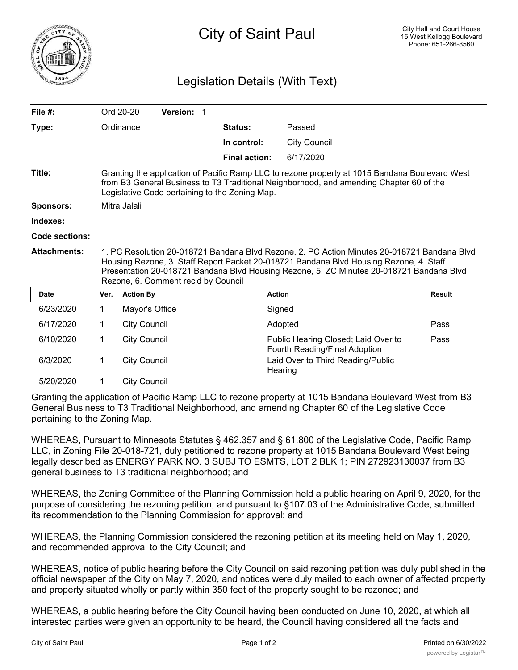

## Legislation Details (With Text)

| File $#$ :          |                                                                                                                                                                                                                                                                                                                          | Ord 20-20           | Version: 1 |  |                      |                                                                      |               |
|---------------------|--------------------------------------------------------------------------------------------------------------------------------------------------------------------------------------------------------------------------------------------------------------------------------------------------------------------------|---------------------|------------|--|----------------------|----------------------------------------------------------------------|---------------|
| Type:               |                                                                                                                                                                                                                                                                                                                          | Ordinance           |            |  | Status:              | Passed                                                               |               |
|                     |                                                                                                                                                                                                                                                                                                                          |                     |            |  | In control:          | <b>City Council</b>                                                  |               |
|                     |                                                                                                                                                                                                                                                                                                                          |                     |            |  | <b>Final action:</b> | 6/17/2020                                                            |               |
| Title:              | Granting the application of Pacific Ramp LLC to rezone property at 1015 Bandana Boulevard West<br>from B3 General Business to T3 Traditional Neighborhood, and amending Chapter 60 of the<br>Legislative Code pertaining to the Zoning Map.                                                                              |                     |            |  |                      |                                                                      |               |
| <b>Sponsors:</b>    | Mitra Jalali                                                                                                                                                                                                                                                                                                             |                     |            |  |                      |                                                                      |               |
| Indexes:            |                                                                                                                                                                                                                                                                                                                          |                     |            |  |                      |                                                                      |               |
| Code sections:      |                                                                                                                                                                                                                                                                                                                          |                     |            |  |                      |                                                                      |               |
| <b>Attachments:</b> | 1. PC Resolution 20-018721 Bandana Blvd Rezone, 2. PC Action Minutes 20-018721 Bandana Blvd<br>Housing Rezone, 3. Staff Report Packet 20-018721 Bandana Blvd Housing Rezone, 4. Staff<br>Presentation 20-018721 Bandana Blvd Housing Rezone, 5. ZC Minutes 20-018721 Bandana Blvd<br>Rezone, 6. Comment rec'd by Council |                     |            |  |                      |                                                                      |               |
| <b>Date</b>         |                                                                                                                                                                                                                                                                                                                          |                     |            |  |                      |                                                                      |               |
|                     | Ver.                                                                                                                                                                                                                                                                                                                     | <b>Action By</b>    |            |  | <b>Action</b>        |                                                                      | <b>Result</b> |
| 6/23/2020           | 1                                                                                                                                                                                                                                                                                                                        | Mayor's Office      |            |  | Signed               |                                                                      |               |
| 6/17/2020           | 1.                                                                                                                                                                                                                                                                                                                       | <b>City Council</b> |            |  |                      | Adopted                                                              | Pass          |
| 6/10/2020           | 1                                                                                                                                                                                                                                                                                                                        | <b>City Council</b> |            |  |                      | Public Hearing Closed; Laid Over to<br>Fourth Reading/Final Adoption | Pass          |
| 6/3/2020            | 1                                                                                                                                                                                                                                                                                                                        | <b>City Council</b> |            |  |                      | Laid Over to Third Reading/Public<br>Hearing                         |               |

Granting the application of Pacific Ramp LLC to rezone property at 1015 Bandana Boulevard West from B3 General Business to T3 Traditional Neighborhood, and amending Chapter 60 of the Legislative Code pertaining to the Zoning Map.

WHEREAS, Pursuant to Minnesota Statutes § 462.357 and § 61.800 of the Legislative Code, Pacific Ramp LLC, in Zoning File 20-018-721, duly petitioned to rezone property at 1015 Bandana Boulevard West being legally described as ENERGY PARK NO. 3 SUBJ TO ESMTS, LOT 2 BLK 1; PIN 272923130037 from B3 general business to T3 traditional neighborhood; and

WHEREAS, the Zoning Committee of the Planning Commission held a public hearing on April 9, 2020, for the purpose of considering the rezoning petition, and pursuant to §107.03 of the Administrative Code, submitted its recommendation to the Planning Commission for approval; and

WHEREAS, the Planning Commission considered the rezoning petition at its meeting held on May 1, 2020, and recommended approval to the City Council; and

WHEREAS, notice of public hearing before the City Council on said rezoning petition was duly published in the official newspaper of the City on May 7, 2020, and notices were duly mailed to each owner of affected property and property situated wholly or partly within 350 feet of the property sought to be rezoned; and

WHEREAS, a public hearing before the City Council having been conducted on June 10, 2020, at which all interested parties were given an opportunity to be heard, the Council having considered all the facts and